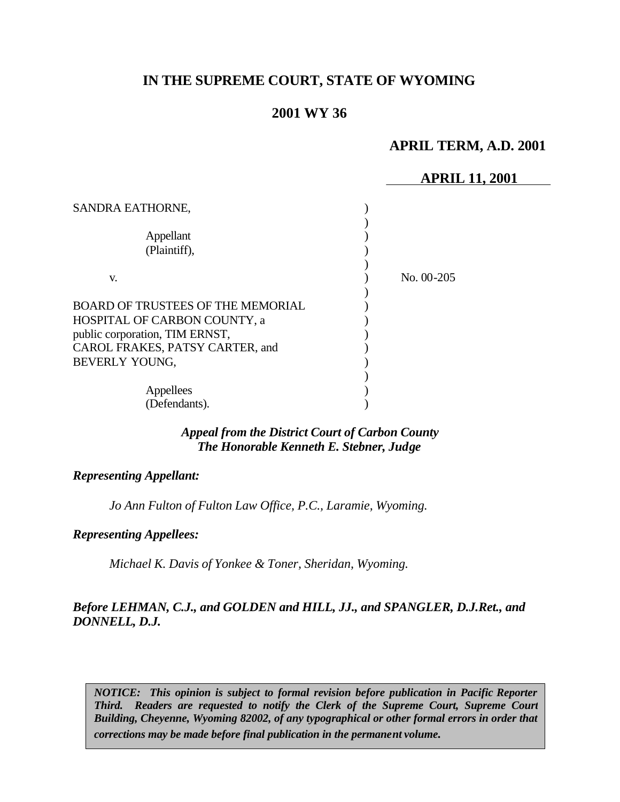# **IN THE SUPREME COURT, STATE OF WYOMING**

# **2001 WY 36**

## **APRIL TERM, A.D. 2001**

## **APRIL 11, 2001**

| SANDRA EATHORNE,                                                                                                                                                |              |
|-----------------------------------------------------------------------------------------------------------------------------------------------------------------|--------------|
| Appellant<br>(Plaintiff),                                                                                                                                       |              |
| V.                                                                                                                                                              | No. $00-205$ |
| <b>BOARD OF TRUSTEES OF THE MEMORIAL</b><br>HOSPITAL OF CARBON COUNTY, a<br>public corporation, TIM ERNST,<br>CAROL FRAKES, PATSY CARTER, and<br>BEVERLY YOUNG, |              |
| Appellees<br>(Defendants).                                                                                                                                      |              |

## *Appeal from the District Court of Carbon County The Honorable Kenneth E. Stebner, Judge*

#### *Representing Appellant:*

*Jo Ann Fulton of Fulton Law Office, P.C., Laramie, Wyoming.*

#### *Representing Appellees:*

*Michael K. Davis of Yonkee & Toner, Sheridan, Wyoming.*

## *Before LEHMAN, C.J., and GOLDEN and HILL, JJ., and SPANGLER, D.J.Ret., and DONNELL, D.J.*

*NOTICE: This opinion is subject to formal revision before publication in Pacific Reporter Third. Readers are requested to notify the Clerk of the Supreme Court, Supreme Court Building, Cheyenne, Wyoming 82002, of any typographical or other formal errors in order that corrections may be made before final publication in the permanent volume.*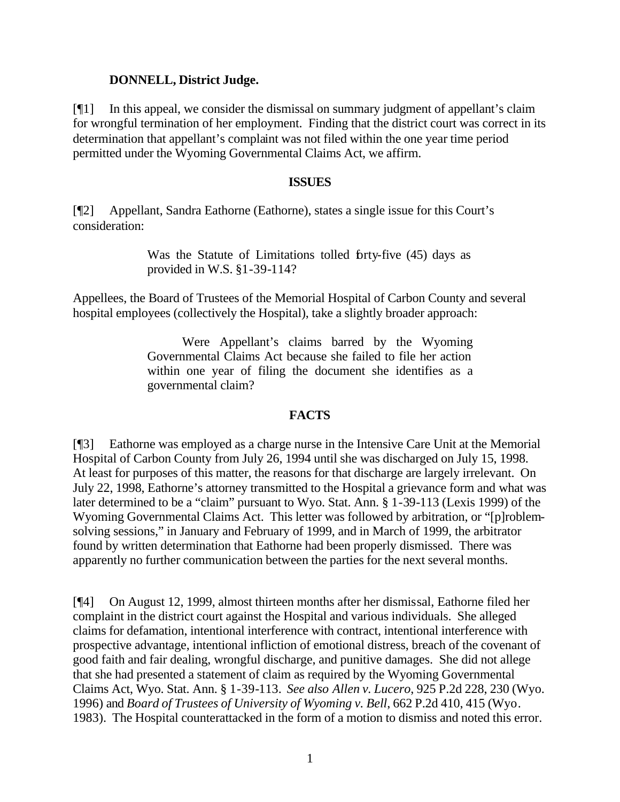#### **DONNELL, District Judge.**

[¶1] In this appeal, we consider the dismissal on summary judgment of appellant's claim for wrongful termination of her employment. Finding that the district court was correct in its determination that appellant's complaint was not filed within the one year time period permitted under the Wyoming Governmental Claims Act, we affirm.

#### **ISSUES**

[¶2] Appellant, Sandra Eathorne (Eathorne), states a single issue for this Court's consideration:

> Was the Statute of Limitations tolled forty-five (45) days as provided in W.S. §1-39-114?

Appellees, the Board of Trustees of the Memorial Hospital of Carbon County and several hospital employees (collectively the Hospital), take a slightly broader approach:

> Were Appellant's claims barred by the Wyoming Governmental Claims Act because she failed to file her action within one year of filing the document she identifies as a governmental claim?

## **FACTS**

[¶3] Eathorne was employed as a charge nurse in the Intensive Care Unit at the Memorial Hospital of Carbon County from July 26, 1994 until she was discharged on July 15, 1998. At least for purposes of this matter, the reasons for that discharge are largely irrelevant. On July 22, 1998, Eathorne's attorney transmitted to the Hospital a grievance form and what was later determined to be a "claim" pursuant to Wyo. Stat. Ann. § 1-39-113 (Lexis 1999) of the Wyoming Governmental Claims Act. This letter was followed by arbitration, or "[p]roblemsolving sessions," in January and February of 1999, and in March of 1999, the arbitrator found by written determination that Eathorne had been properly dismissed. There was apparently no further communication between the parties for the next several months.

[¶4] On August 12, 1999, almost thirteen months after her dismissal, Eathorne filed her complaint in the district court against the Hospital and various individuals. She alleged claims for defamation, intentional interference with contract, intentional interference with prospective advantage, intentional infliction of emotional distress, breach of the covenant of good faith and fair dealing, wrongful discharge, and punitive damages. She did not allege that she had presented a statement of claim as required by the Wyoming Governmental Claims Act, Wyo. Stat. Ann. § 1-39-113. *See also Allen v. Lucero*, 925 P.2d 228, 230 (Wyo. 1996) and *Board of Trustees of University of Wyoming v. Bell*, 662 P.2d 410, 415 (Wyo. 1983). The Hospital counterattacked in the form of a motion to dismiss and noted this error.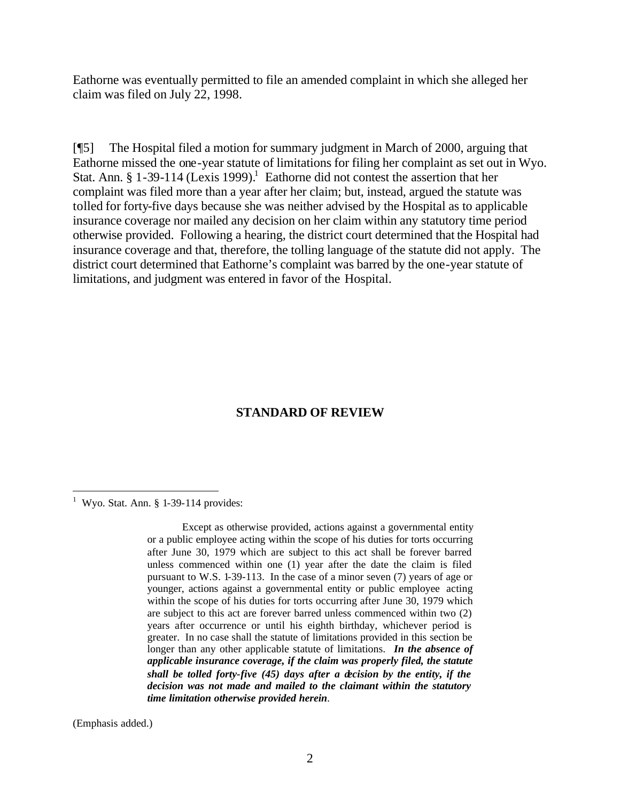Eathorne was eventually permitted to file an amended complaint in which she alleged her claim was filed on July 22, 1998.

[¶5] The Hospital filed a motion for summary judgment in March of 2000, arguing that Eathorne missed the one-year statute of limitations for filing her complaint as set out in Wyo. Stat. Ann. § 1-39-114 (Lexis 1999).<sup>1</sup> Eathorne did not contest the assertion that her complaint was filed more than a year after her claim; but, instead, argued the statute was tolled for forty-five days because she was neither advised by the Hospital as to applicable insurance coverage nor mailed any decision on her claim within any statutory time period otherwise provided. Following a hearing, the district court determined that the Hospital had insurance coverage and that, therefore, the tolling language of the statute did not apply. The district court determined that Eathorne's complaint was barred by the one-year statute of limitations, and judgment was entered in favor of the Hospital.

# **STANDARD OF REVIEW**

(Emphasis added.)

l

<sup>&</sup>lt;sup>1</sup> Wyo. Stat. Ann.  $§$  1-39-114 provides:

Except as otherwise provided, actions against a governmental entity or a public employee acting within the scope of his duties for torts occurring after June 30, 1979 which are subject to this act shall be forever barred unless commenced within one (1) year after the date the claim is filed pursuant to W.S. 1-39-113. In the case of a minor seven (7) years of age or younger, actions against a governmental entity or public employee acting within the scope of his duties for torts occurring after June 30, 1979 which are subject to this act are forever barred unless commenced within two (2) years after occurrence or until his eighth birthday, whichever period is greater. In no case shall the statute of limitations provided in this section be longer than any other applicable statute of limitations. *In the absence of applicable insurance coverage, if the claim was properly filed, the statute shall be tolled forty-five (45) days after a decision by the entity, if the decision was not made and mailed to the claimant within the statutory time limitation otherwise provided herein*.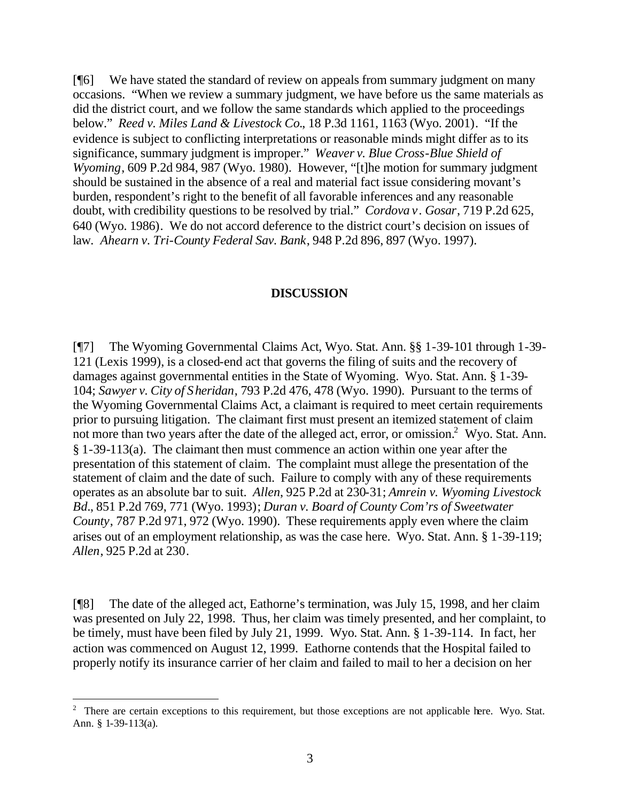[¶6] We have stated the standard of review on appeals from summary judgment on many occasions. "When we review a summary judgment, we have before us the same materials as did the district court, and we follow the same standards which applied to the proceedings below." *Reed v. Miles Land & Livestock Co.*, 18 P.3d 1161, 1163 (Wyo. 2001). "If the evidence is subject to conflicting interpretations or reasonable minds might differ as to its significance, summary judgment is improper." *Weaver v. Blue Cross-Blue Shield of Wyoming*, 609 P.2d 984, 987 (Wyo. 1980). However, "[t]he motion for summary judgment should be sustained in the absence of a real and material fact issue considering movant's burden, respondent's right to the benefit of all favorable inferences and any reasonable doubt, with credibility questions to be resolved by trial." *Cordova v. Gosar*, 719 P.2d 625, 640 (Wyo. 1986). We do not accord deference to the district court's decision on issues of law. *Ahearn v. Tri-County Federal Sav. Bank*, 948 P.2d 896, 897 (Wyo. 1997).

#### **DISCUSSION**

[¶7] The Wyoming Governmental Claims Act, Wyo. Stat. Ann. §§ 1-39-101 through 1-39- 121 (Lexis 1999), is a closed-end act that governs the filing of suits and the recovery of damages against governmental entities in the State of Wyoming. Wyo. Stat. Ann. § 1-39- 104; *Sawyer v. City of Sheridan*, 793 P.2d 476, 478 (Wyo. 1990). Pursuant to the terms of the Wyoming Governmental Claims Act, a claimant is required to meet certain requirements prior to pursuing litigation. The claimant first must present an itemized statement of claim not more than two years after the date of the alleged act, error, or omission.<sup>2</sup> Wyo. Stat. Ann. § 1-39-113(a). The claimant then must commence an action within one year after the presentation of this statement of claim. The complaint must allege the presentation of the statement of claim and the date of such. Failure to comply with any of these requirements operates as an absolute bar to suit. *Allen*, 925 P.2d at 230-31; *Amrein v. Wyoming Livestock Bd.*, 851 P.2d 769, 771 (Wyo. 1993); *Duran v. Board of County Com'rs of Sweetwater County*, 787 P.2d 971, 972 (Wyo. 1990). These requirements apply even where the claim arises out of an employment relationship, as was the case here. Wyo. Stat. Ann. § 1-39-119; *Allen*, 925 P.2d at 230.

[¶8] The date of the alleged act, Eathorne's termination, was July 15, 1998, and her claim was presented on July 22, 1998. Thus, her claim was timely presented, and her complaint, to be timely, must have been filed by July 21, 1999. Wyo. Stat. Ann. § 1-39-114. In fact, her action was commenced on August 12, 1999. Eathorne contends that the Hospital failed to properly notify its insurance carrier of her claim and failed to mail to her a decision on her

l

 $2$  There are certain exceptions to this requirement, but those exceptions are not applicable here. Wyo. Stat. Ann. § 1-39-113(a).